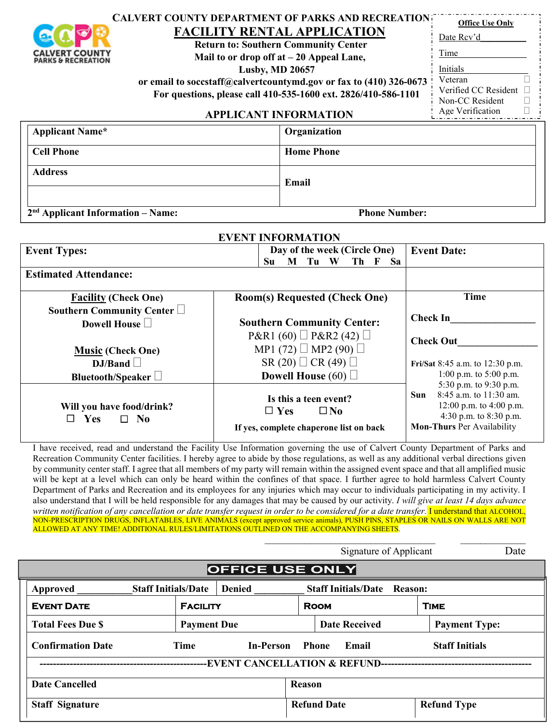|                                                                       | <b>CALVERT COUNTY DEPARTMENT OF PARKS AND RECREATION:</b>          |                      | <b>Office Use Only</b> |  |
|-----------------------------------------------------------------------|--------------------------------------------------------------------|----------------------|------------------------|--|
|                                                                       | <b>FACILITY RENTAL APPLICATION</b>                                 |                      | Date Rcv'd             |  |
|                                                                       | <b>Return to: Southern Community Center</b>                        |                      |                        |  |
| <b>CALVERT COUNT</b><br><b>PARKS &amp; RECREATION</b>                 | Mail to or drop off at $-20$ Appeal Lane,                          | Time                 |                        |  |
| <b>Lusby, MD 20657</b>                                                |                                                                    |                      | Initials               |  |
|                                                                       | or email to soccstaff@calvertcountymd.gov or fax to (410) 326-0673 |                      | Veteran                |  |
| For questions, please call 410-535-1600 ext. 2826/410-586-1101        |                                                                    | Verified CC Resident |                        |  |
|                                                                       |                                                                    |                      | Non-CC Resident        |  |
| <b>APPLICANT INFORMATION</b>                                          |                                                                    |                      | Age Verification       |  |
| <b>Applicant Name*</b>                                                |                                                                    | Organization         |                        |  |
| <b>Cell Phone</b>                                                     |                                                                    | <b>Home Phone</b>    |                        |  |
| <b>Address</b><br>Email                                               |                                                                    |                      |                        |  |
| 2 <sup>nd</sup> Applicant Information – Name:<br><b>Phone Number:</b> |                                                                    |                      |                        |  |
| EVENT INFORMATION                                                     |                                                                    |                      |                        |  |

| <b>Event Types:</b>                                                                          | Day of the week (Circle One)<br>Tu<br>W<br>Th F<br>Su<br>M<br>Sa                               | <b>Event Date:</b>                                                                                                                                 |  |
|----------------------------------------------------------------------------------------------|------------------------------------------------------------------------------------------------|----------------------------------------------------------------------------------------------------------------------------------------------------|--|
| <b>Estimated Attendance:</b>                                                                 |                                                                                                |                                                                                                                                                    |  |
| <b>Facility (Check One)</b>                                                                  | <b>Room(s) Requested (Check One)</b>                                                           | <b>Time</b>                                                                                                                                        |  |
| Southern Community Center $\Box$<br><b>Southern Community Center:</b><br>Dowell House $\Box$ |                                                                                                | <b>Check In</b>                                                                                                                                    |  |
| <b>Music (Check One)</b>                                                                     | $P\&R1(60) \square P\&R2(42) \square$<br>MP1 (72) $\Box$ MP2 (90) $\Box$                       | <b>Check Out</b>                                                                                                                                   |  |
| DJ/Band<br>Bluetooth/Speaker                                                                 | SR (20) $\Box$ CR (49) $\Box$<br>Dowell House $(60)$                                           | Fri/Sat 8:45 a.m. to 12:30 p.m.<br>1:00 p.m. to $5:00$ p.m.                                                                                        |  |
| Will you have food/drink?<br><b>Yes</b><br>$\square$ No                                      | Is this a teen event?<br>$\Box$ Yes<br>$\square$ No<br>If yes, complete chaperone list on back | 5:30 p.m. to 9:30 p.m.<br>8:45 a.m. to 11:30 am.<br>Sun.<br>12:00 p.m. to 4:00 p.m.<br>4:30 p.m. to 8:30 p.m.<br><b>Mon-Thurs Per Availability</b> |  |

I have received, read and understand the Facility Use Information governing the use of Calvert County Department of Parks and Recreation Community Center facilities. I hereby agree to abide by those regulations, as well as any additional verbal directions given by community center staff. I agree that all members of my party will remain within the assigned event space and that all amplified music will be kept at a level which can only be heard within the confines of that space. I further agree to hold harmless Calvert County Department of Parks and Recreation and its employees for any injuries which may occur to individuals participating in my activity. I also understand that I will be held responsible for any damages that may be caused by our activity. *I will give at least 14 days advance written notification of any cancellation or date transfer request in order to be considered for a date transfer.* I understand that ALCOHOL, NON-PRESCRIPTION DRUGS, INFLATABLES, LIVE ANIMALS (except approved service animals), PUSH PINS, STAPLES OR NAILS ON WALLS ARE NOT ALLOWED AT ANY TIME! ADDITIONAL RULES/LIMITATIONS OUTLINED ON THE ACCOMPANYING SHEETS.

\_\_\_\_\_\_\_\_\_\_\_\_\_\_\_\_\_\_\_\_\_\_\_\_\_\_\_\_\_\_\_\_\_\_ \_\_\_\_\_\_\_\_\_\_\_\_\_

|                                                             | Date<br>Signature of Applicant |                    |                            |                    |                      |
|-------------------------------------------------------------|--------------------------------|--------------------|----------------------------|--------------------|----------------------|
| <b>OFFICE USE ONLY</b>                                      |                                |                    |                            |                    |                      |
| Approved                                                    | <b>Staff Initials/Date</b>     | <b>Denied</b>      | <b>Staff Initials/Date</b> | Reason:            |                      |
| <b>EVENT DATE</b>                                           | <b>FACILITY</b>                |                    | <b>ROOM</b>                |                    | <b>TIME</b>          |
| <b>Total Fees Due \$</b>                                    | <b>Payment Due</b>             |                    | <b>Date Received</b>       |                    | <b>Payment Type:</b> |
| <b>Confirmation Date</b><br><b>Time</b><br><b>In-Person</b> |                                | Phone<br>Email     | <b>Staff Initials</b>      |                    |                      |
| <b>-EVENT CANCELLATION &amp; REFUND-</b>                    |                                |                    |                            |                    |                      |
| <b>Date Cancelled</b>                                       |                                | <b>Reason</b>      |                            |                    |                      |
| <b>Staff Signature</b>                                      |                                | <b>Refund Date</b> |                            | <b>Refund Type</b> |                      |